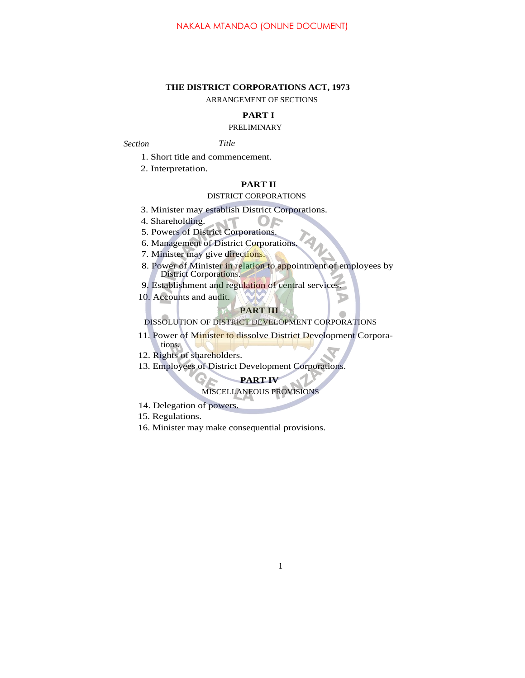### **THE DISTRICT CORPORATIONS ACT, 1973**

ARRANGEMENT OF SECTIONS

## **PART I**

## PRELIMINARY

*Section Title*

1. Short title and commencement.

2. Interpretation.

## **PART II**

### DISTRICT CORPORATIONS

3. Minister may establish District Corporations.

4. Shareholding.

5. Powers of District Corporations.

6. Management of District Corporations.

7. Minister may give directions.

8. Power of Minister in relation to appointment of employees by District Corporations.

9. Establishment and regulation of central services.

10. Accounts and audit.

## **PART III**

DISSOLUTION OF DISTRICT DEVELOPMENT CORPORATIONS

11. Power of Minister to dissolve District Development Corporations.

12. Rights of shareholders.

13. Employees of District Development Corporations.

# **PART IV**

MISCELLANEOUS PROVISIONS

14. Delegation of powers.

15. Regulations.

16. Minister may make consequential provisions.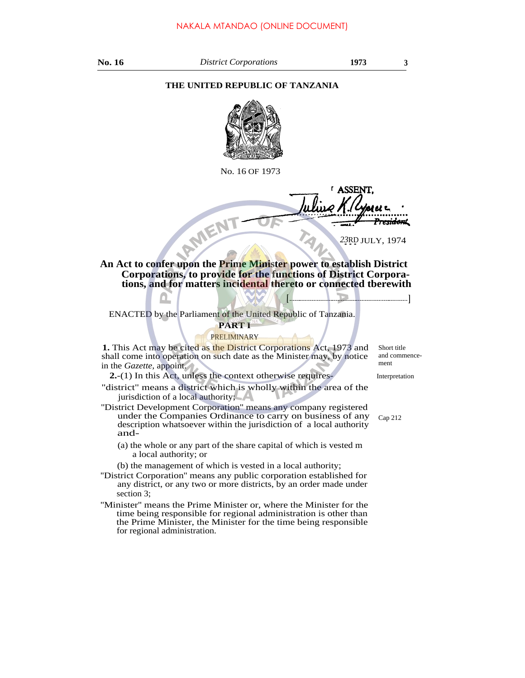### **THE UNITED REPUBLIC OF TANZANIA**



No. 16 OF 1973

**ASSEN** AMEN <del>sidon</del>t

23RD JULY, 1974

**[ ]**

**An Act to confer upon the Prime Minister power to establish District Corporations, to provide for the functions of District Corporations, and for matters incidental thereto or connected tberewith**

ENACTED by the Parliament of the United Republic of Tanzania.

# **PART I**

### PRELIMINARY

**1.** This Act may be cited as the District Corporations Act, 1973 and shall come into operation on such date as the Minister may, by notice in the *Gazette,* appoint.

**2.**-(1) In this Act, unless the context otherwise requires-

"district" means a district which is wholly within the area of the jurisdiction of a local authority;

- ''District Development Corporation'' means any company registered under the Companies Ordinance to carry on business of any description whatsoever within the jurisdiction of a local authority and-
	- (a) the whole or any part of the share capital of which is vested m a local authority; or

(b) the management of which is vested in a local authority;

- ''District Corporation'' means any public corporation established for any district, or any two or more districts, by an order made under section 3;
- ''Minister'' means the Prime Minister or, where the Minister for the time being responsible for regional administration is other than the Prime Minister, the Minister for the time being responsible for regional administration.

Short title and commencement

Interpretation

Cap 212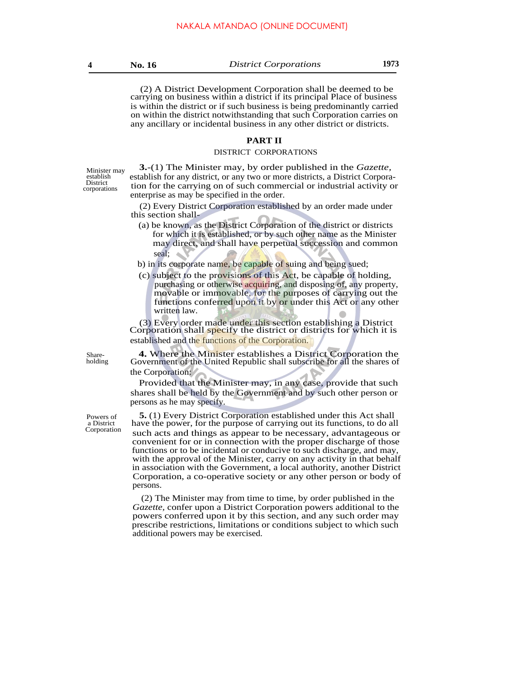(2) A District Development Corporation shall be deemed to be carrying on business within a district if its principal Place of business is within the district or if such business is being predominantly carried on within the district notwithstanding that such Corporation carries on any ancillary or incidental business in any other district or districts.

## **PART II**

#### DISTRICT CORPORATIONS

Minister may establish<br>District corporations

**3.**-(1) The Minister may, by order published in the *Gazette,* establish for any district, or any two or more districts, a District Corporation for the carrying on of such commercial or industrial activity or enterprise as may be specified in the order.

(2) Every District Corporation established by an order made under this section shall-

- (a) be known, as the District Corporation of the district or districts for which it is established, or by such other name as the Minister may direct, and shall have perpetual succession and common seal;
- b) in its corporate name, be capable of suing and being sued;
- (c) subject to the provisions of this Act, be capable of holding, purchasing or otherwise acquiring, and disposing of, any property, movable or immovable, for the purposes of carrying out the functions conferred upon it by or under this Act or any other written law.

(3) Every order made under this section establishing a District Corporation shall specify the district or districts for which it is established and the functions of the Corporation.

Share-

**4.** Where the Minister establishes a District Corporation the Government of the United Republic shall subscribe for all the shares of the Corporation:

Provided that the Minister may, in any case, provide that such shares shall be held by the Government and by such other person or persons as he may specify.

**5.** (1) Every District Corporation established under this Act shall have the power, for the purpose of carrying out its functions, to do all Corporation such acts and things as appear to be necessary, advantageous or convenient for or in connection with the proper discharge of those functions or to be incidental or conducive to such discharge, and may, with the approval of the Minister, carry on any activity in that behalf in association with the Government, a local authority, another District Corporation, a co-operative society or any other person or body of persons.

> (2) The Minister may from time to time, by order published in the *Gazette,* confer upon a District Corporation powers additional to the powers conferred upon it by this section, and any such order may prescribe restrictions, limitations or conditions subject to which such additional powers may be exercised.

holding

Powers of a District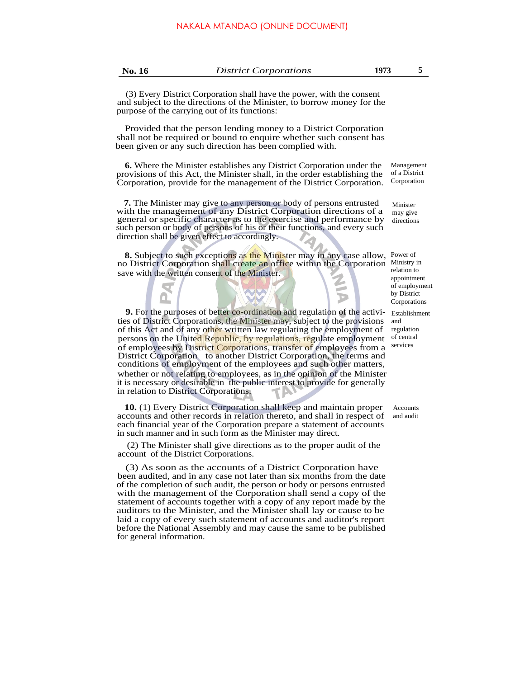(3) Every District Corporation shall have the power, with the consent and subject to the directions of the Minister, to borrow money for the purpose of the carrying out of its functions:

Provided that the person lending money to a District Corporation shall not be required or bound to enquire whether such consent has been given or any such direction has been complied with.

**6.** Where the Minister establishes any District Corporation under the provisions of this Act, the Minister shall, in the order establishing the Corporation, provide for the management of the District Corporation.

**7.** The Minister may give to any person or body of persons entrusted with the management of any District Corporation directions of a general or specific character as to the exercise and performance by such person or body of persons of his or their functions, and every such direction shall be given effect to accordingly.

8. Subject to such exceptions as the Minister may in any case allow, Power of no District Corporation shall create an office within the Corporation Ministry in save with the written consent of the Minister.

**9.** For the purposes of better co-ordination and regulation of the activities of District Corporations, the Minister may, subject to the provisions of this Act and of any other written law regulating the employment of persons on the United Republic, by regulations, regulate employment of employees by District Corporations, transfer of employees from a District Corporation to another District Corporation, the terms and conditions of employment of the employees and such other matters, whether or not relating to employees, as in the opinion of the Minister it is necessary or desirable in the public interest to provide for generally in relation to District Corporations.

**10.** (1) Every District Corporation shall keep and maintain proper accounts and other records in relation thereto, and shall in respect of each financial year of the Corporation prepare a statement of accounts in such manner and in such form as the Minister may direct.

(2) The Minister shall give directions as to the proper audit of the account of the District Corporations.

(3) As soon as the accounts of a District Corporation have been audited, and in any case not later than six months from the date of the completion of such audit, the person or body or persons entrusted with the management of the Corporation shall send a copy of the statement of accounts together with a copy of any report made by the auditors to the Minister, and the Minister shall lay or cause to be laid a copy of every such statement of accounts and auditor's report before the National Assembly and may cause the same to be published for general information.

Management of a District Corporation

Minister may give directions

relation to appointment of employment by District **Corporations** 

Establishment and regulation of central services

Accounts and audit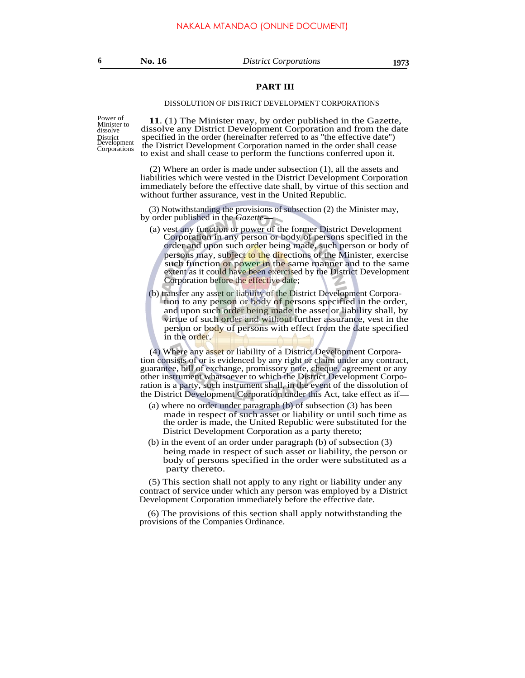### **PART III**

#### DISSOLUTION OF DISTRICT DEVELOPMENT CORPORATIONS

dissolve District<br>Development

Power of **11.** (1) The Minister may, by order published in the Gazette, dissolve any District Development Corporation and from the date specified in the order (hereinafter referred to as "the effective date") the District Development Corporation named in the order shall cease the District Development Corporation named in the order shall cease Corporations to exist and shall cease to perform the functions conferred upon it.

> (2) Where an order is made under subsection (1), all the assets and liabilities which were vested in the District Development Corporation immediately before the effective date shall, by virtue of this section and without further assurance, vest in the United Republic.

(3) Notwithstanding the provisions of subsection (2) the Minister may, by order published in the *Gazette*

- (a) vest any function or power of the former District Development Corporation in any person or body of persons specified in the order and upon such order being made, such person or body of persons may, subject to the directions of the Minister, exercise such function or power in the same manner and to the same extent as it could have been exercised by the District Development Corporation before the effective date;
- (b) transfer any asset or liability of the District Development Corporation to any person or body of persons specified in the order, and upon such order being made the asset or liability shall, by virtue of such order and without further assurance, vest in the person or body of persons with effect from the date specified in the order.

(4) Where any asset or liability of a District Development Corporation consists of or is evidenced by any right or claim under any contract, guarantee, bill of exchange, promissory note, cheque, agreement or any other instrument whatsoever to which the District Development Corporation is a party, such instrument shall, in the event of the dissolution of the District Development Corporation under this Act, take effect as if

- (a) where no order under paragraph (b) of subsection (3) has been made in respect of such asset or liability or until such time as the order is made, the United Republic were substituted for the District Development Corporation as a party thereto;
- (b) in the event of an order under paragraph (b) of subsection (3) being made in respect of such asset or liability, the person or body of persons specified in the order were substituted as a party thereto.

(5) This section shall not apply to any right or liability under any contract of service under which any person was employed by a District Development Corporation immediately before the effective date.

(6) The provisions of this section shall apply notwithstanding the provisions of the Companies Ordinance.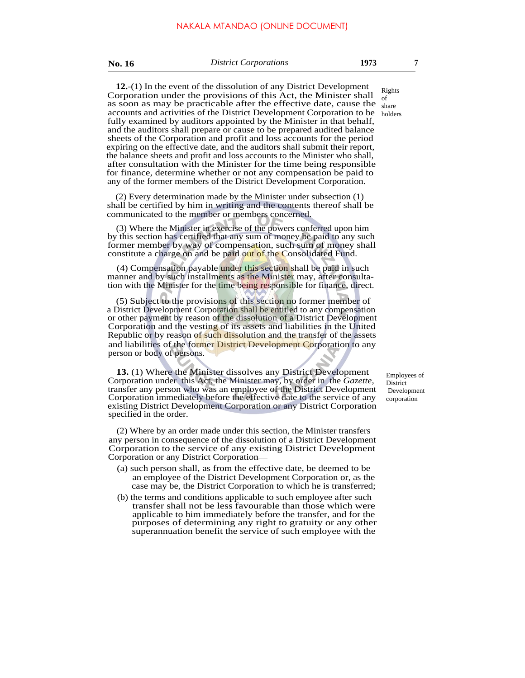**No. 16** *District Corporations* **1973 7**

**12.**-(1) In the event of the dissolution of any District Development Corporation under the provisions of this Act, the Minister shall as soon as may be practicable after the effective date, cause the accounts and activities of the District Development Corporation to be holders fully examined by auditors appointed by the Minister in that behalf, and the auditors shall prepare or cause to be prepared audited balance sheets of the Corporation and profit and loss accounts for the period expiring on the effective date, and the auditors shall submit their report, the balance sheets and profit and loss accounts to the Minister who shall, after consultation with the Minister for the time being responsible for finance, determine whether or not any compensation be paid to any of the former members of the District Development Corporation.

(2) Every determination made by the Minister under subsection (1) shall be certified by him in writing and the contents thereof shall be communicated to the member or members concerned.

(3) Where the Minister in exercise of the powers conferred upon him by this section has certified that any sum of money be paid to any such former member by way of compensation, such sum of money shall constitute a charge on and be paid out of the Consolidated Fund.

(4) Compensation payable under this section shall be paid in such manner and by such installments as the Minister may, after consultation with the Minister for the time being responsible for finance, direct.

(5) Subject to the provisions of this section no former member of a District Development Corporation shall be entitled to any compensation or other payment by reason of the dissolution of a District Development Corporation and the vesting of its assets and liabilities in the United Republic or by reason of such dissolution and the transfer of the assets and liabilities of the former District Development Corporation to any person or body of persons.

**13.** (1) Where the Minister dissolves any District Development Corporation under this Act, the Minister may, by order in the *Gazette,* transfer any person who was an employee of the District Development Corporation immediately before the effective date to the service of any existing District Development Corporation or any District Corporation specified in the order.

(2) Where by an order made under this section, the Minister transfers any person in consequence of the dissolution of a District Development Corporation to the service of any existing District Development Corporation or any District Corporation

- (a) such person shall, as from the effective date, be deemed to be an employee of the District Development Corporation or, as the case may be, the District Corporation to which he is transferred;
- (b) the terms and conditions applicable to such employee after such transfer shall not be less favourable than those which were applicable to him immediately before the transfer, and for the purposes of determining any right to gratuity or any other superannuation benefit the service of such employee with the

Employees of **District**  Development corporation

Rights of share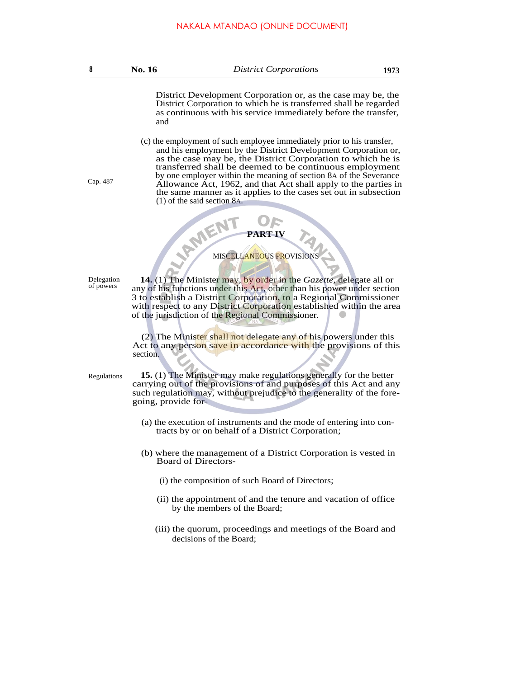District Development Corporation or, as the case may be, the District Corporation to which he is transferred shall be regarded as continuous with his service immediately before the transfer, and

(c) the employment of such employee immediately prior to his transfer, and his employment by the District Development Corporation or, as the case may be, the District Corporation to which he is transferred shall be deemed to be continuous employment by one employer within the meaning of section 8A of the Severance Allowance Act, 1962, and that Act shall apply to the parties in the same manner as it applies to the cases set out in subsection (1) of the said section 8A.

### **PART IV**

PART IV

Delegation of powers

Cap. 487

**14.** (1) The Minister may, by order in the *Gazette,* delegate all or any of his functions under this Act, other than his power under section 3 to establish a District Corporation, to a Regional Commissioner with respect to any District Corporation established within the area of the jurisdiction of the Regional Commissioner.

(2) The Minister shall not delegate any of his powers under this Act to any person save in accordance with the provisions of this section.

Regulations

**15.** (1) The Minister may make regulations generally for the better carrying out of the provisions of and purposes of this Act and any such regulation may, without prejudice to the generality of the foregoing, provide for-

- (a) the execution of instruments and the mode of entering into contracts by or on behalf of a District Corporation;
- (b) where the management of a District Corporation is vested in Board of Directors-
	- (i) the composition of such Board of Directors;
	- (ii) the appointment of and the tenure and vacation of office by the members of the Board;
	- (iii) the quorum, proceedings and meetings of the Board and decisions of the Board;